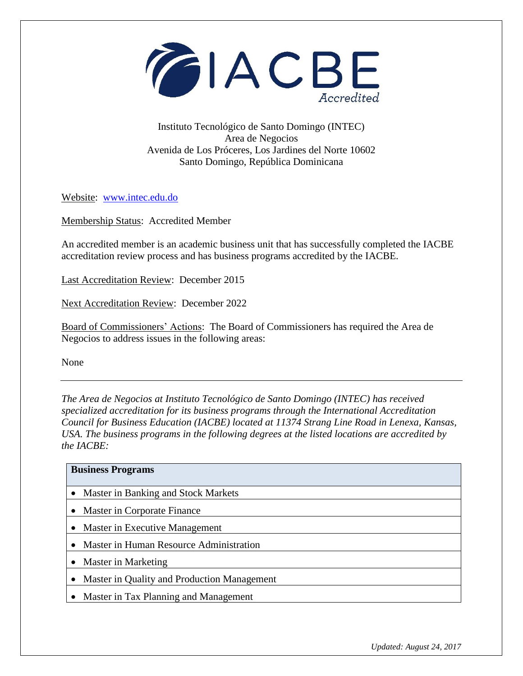

## Instituto Tecnológico de Santo Domingo (INTEC) Area de Negocios Avenida de Los Próceres, Los Jardines del Norte 10602 Santo Domingo, República Dominicana

Website: [www.intec.edu.do](http://www.intec.edu.do/)

Membership Status: Accredited Member

An accredited member is an academic business unit that has successfully completed the IACBE accreditation review process and has business programs accredited by the IACBE.

Last Accreditation Review: December 2015

Next Accreditation Review: December 2022

Board of Commissioners' Actions: The Board of Commissioners has required the Area de Negocios to address issues in the following areas:

None

*The Area de Negocios at Instituto Tecnológico de Santo Domingo (INTEC) has received specialized accreditation for its business programs through the International Accreditation Council for Business Education (IACBE) located at 11374 Strang Line Road in Lenexa, Kansas, USA. The business programs in the following degrees at the listed locations are accredited by the IACBE:*

| <b>Business Programs</b>                    |
|---------------------------------------------|
| • Master in Banking and Stock Markets       |
| • Master in Corporate Finance               |
| Master in Executive Management              |
| • Master in Human Resource Administration   |
| • Master in Marketing                       |
| Master in Quality and Production Management |
| • Master in Tax Planning and Management     |